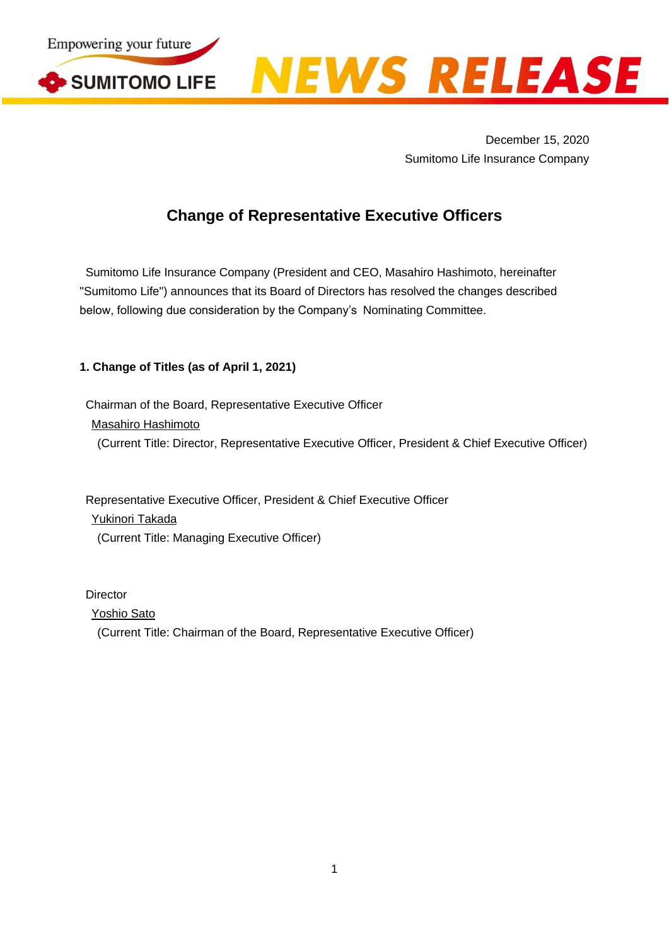



December 15, 2020 Sumitomo Life Insurance Company

# **Change of Representative Executive Officers**

Sumitomo Life Insurance Company (President and CEO, Masahiro Hashimoto, hereinafter "Sumitomo Life") announces that its Board of Directors has resolved the changes described below, following due consideration by the Company's Nominating Committee.

### **1. Change of Titles (as of April 1, 2021)**

Chairman of the Board, Representative Executive Officer Masahiro Hashimoto (Current Title: Director, Representative Executive Officer, President & Chief Executive Officer)

Representative Executive Officer, President & Chief Executive Officer Yukinori Takada (Current Title: Managing Executive Officer)

**Director** Yoshio Sato (Current Title: Chairman of the Board, Representative Executive Officer)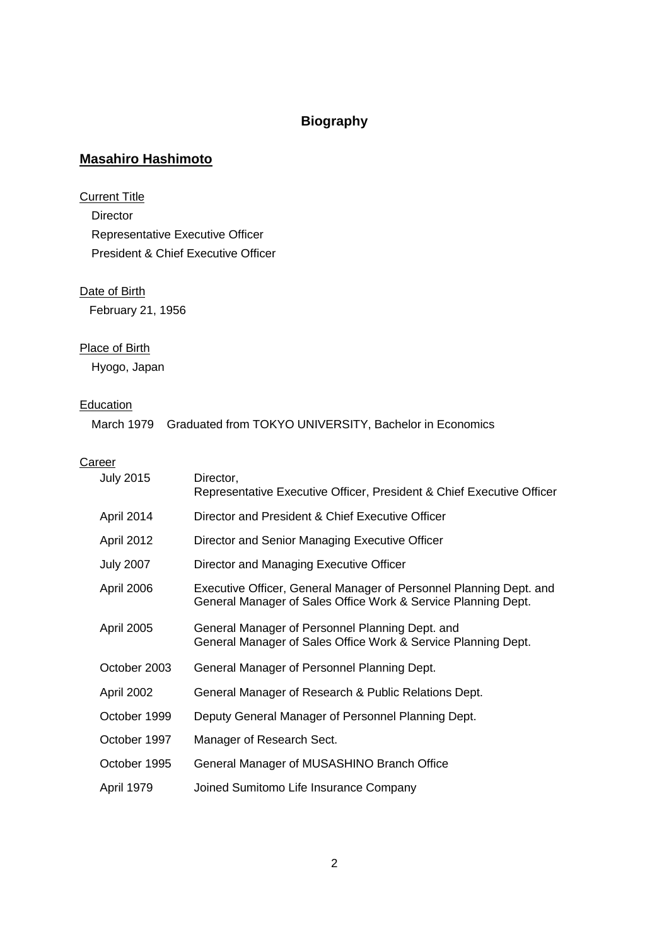## **Biography**

## **Masahiro Hashimoto**

## **Current Title**

Director Representative Executive Officer President & Chief Executive Officer

### Date of Birth

February 21, 1956

## Place of Birth

Hyogo, Japan

### **Education**

|  | March 1979 Graduated from TOKYO UNIVERSITY, Bachelor in Economics |
|--|-------------------------------------------------------------------|
|--|-------------------------------------------------------------------|

## **Career**

| <b>July 2015</b>  | Director,<br>Representative Executive Officer, President & Chief Executive Officer                                                  |
|-------------------|-------------------------------------------------------------------------------------------------------------------------------------|
| April 2014        | Director and President & Chief Executive Officer                                                                                    |
| April 2012        | Director and Senior Managing Executive Officer                                                                                      |
| <b>July 2007</b>  | Director and Managing Executive Officer                                                                                             |
| April 2006        | Executive Officer, General Manager of Personnel Planning Dept. and<br>General Manager of Sales Office Work & Service Planning Dept. |
| April 2005        | General Manager of Personnel Planning Dept. and<br>General Manager of Sales Office Work & Service Planning Dept.                    |
| October 2003      | General Manager of Personnel Planning Dept.                                                                                         |
| April 2002        | General Manager of Research & Public Relations Dept.                                                                                |
| October 1999      | Deputy General Manager of Personnel Planning Dept.                                                                                  |
| October 1997      | Manager of Research Sect.                                                                                                           |
| October 1995      | General Manager of MUSASHINO Branch Office                                                                                          |
| <b>April 1979</b> | Joined Sumitomo Life Insurance Company                                                                                              |